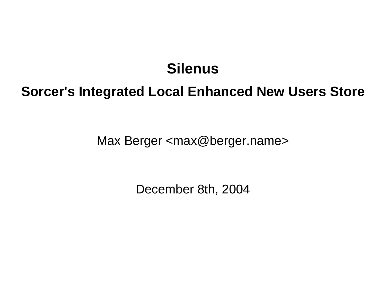## **Silenus**

## **Sorcer's Integrated Local Enhanced New Users Store**

Max Berger <max@berger.name>

December 8th, 2004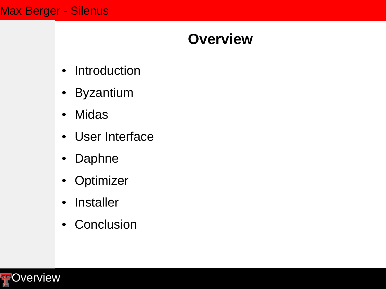## **Overview**

- Introduction
- Byzantium
- Midas
- User Interface
- Daphne
- Optimizer
- Installer
- Conclusion

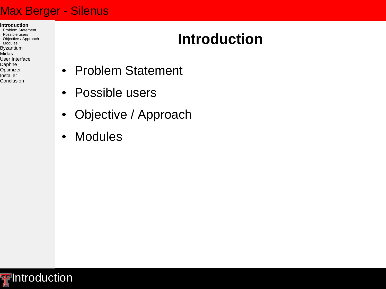- **Introduction**
- Problem Statement Possible users Objective / Approach Modules Byzantium Midas User Interface Daphne **Optimizer**

Installer Conclusion

# **Introduction**

- Problem Statement
- Possible users
- Objective / Approach
- Modules

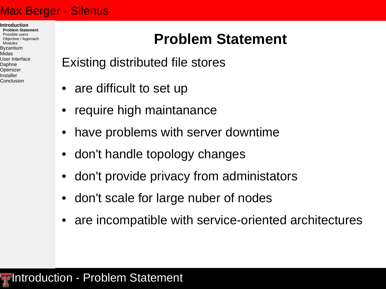**Introduction Problem Statement** Possible users Objective / Approach Modules Byzantium Midas User Interface Daphne **Optimizer** Installer Conclusion

# **Problem Statement**

- Existing distributed file stores
- are difficult to set up
- require high maintanance
- have problems with server downtime
- don't handle topology changes
- don't provide privacy from administators
- don't scale for large nuber of nodes
- are incompatible with service-oriented architectures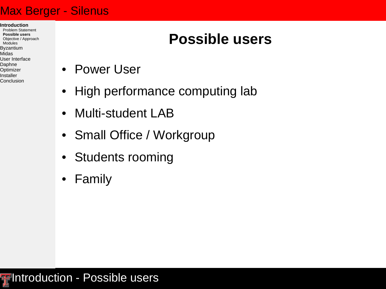**Introduction** Problem Statement **Possible users** Objective / Approach Modules Byzantium Midas User Interface Daphne Optimizer Installer

Conclusion

## **Possible users**

- Power User
- High performance computing lab
- Multi-student LAB
- Small Office / Workgroup
- Students rooming
- Family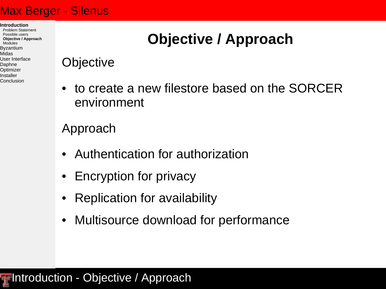**Introduction** Problem Statement Possible users **Objective / Approach** Modules Byzantium Midas User Interface Daphne Optimizer Installer Conclusion

# **Objective / Approach**

## **Objective**

• to create a new filestore based on the SORCER environment

## Approach

- Authentication for authorization
- Encryption for privacy
- Replication for availability
- Multisource download for performance

## **Figheral Introduction - Objective / Approach**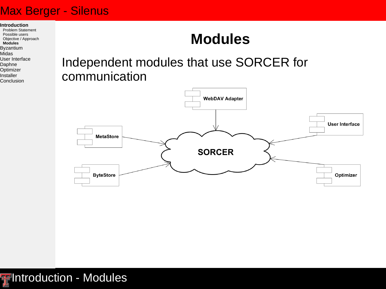**Introduction**

Problem Statement Possible users Objective / Approach **Modules** Byzantium Midas

#### User Interface

- Daphne
- **Optimizer**
- Installer
- Conclusion

## **Modules**

## Independent modules that use SORCER for communication



**F**Introduction - Modules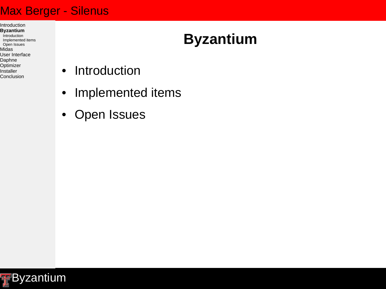- Introduction **Byzantium** Introduction Implemented items Open Issues Midas User Interface Daphne **Optimizer**
- Installer Conclusion

# **Byzantium**

- Introduction
- Implemented items
- Open Issues

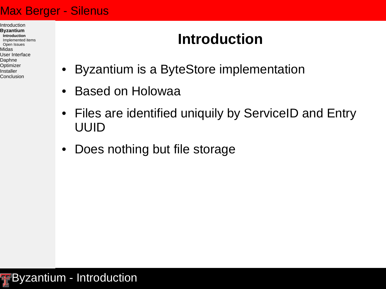- Introduction **Byzantium Introduction** Implemented items Open Issues Midas User Interface Daphne Optimizer Installer
- Conclusion

# **Introduction**

- Byzantium is a ByteStore implementation
- Based on Holowaa
- Files are identified uniquily by ServiceID and Entry UUID
- Does nothing but file storage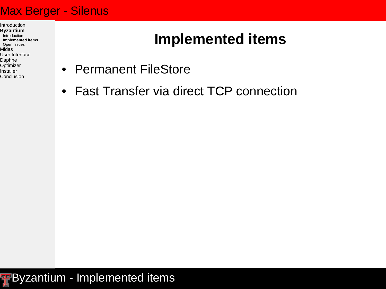Introduction **Byzantium** Introduction **Implemented items** Open Issues Midas User Interface Daphne Optimizer Installer

Conclusion

- **Implemented items**
- Permanent FileStore
- Fast Transfer via direct TCP connection

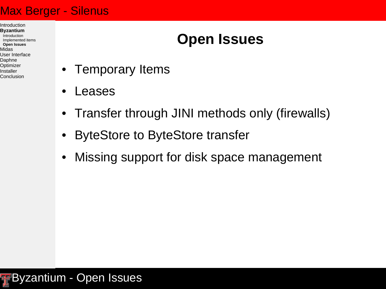Introduction **Byzantium** Introduction Implemented items **Open Issues** Midas User Interface Daphne Optimizer Installer Conclusion

# **Open Issues**

- Temporary Items
- Leases
- Transfer through JINI methods only (firewalls)
- ByteStore to ByteStore transfer
- Missing support for disk space management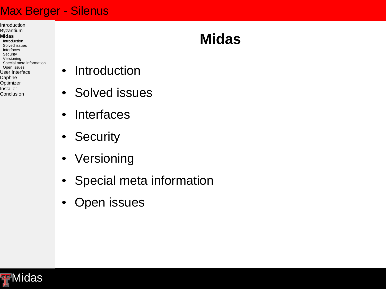Introduction Byzantium

#### **Midas**

- Introduction Solved issues Interfaces **Security** Versioning Special meta information Open issues User Interface Daphne **Optimizer** Installer Conclusion
- Introduction
- Solved issues
- Interfaces
- Security
- Versioning
- Special meta information
- Open issues



# **Midas**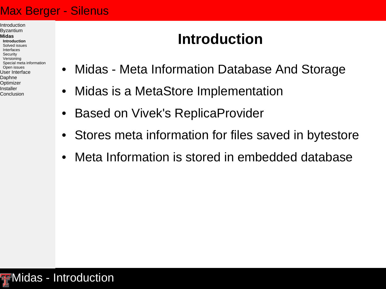Introduction Byzantium

#### **Midas**

**Introduction** Solved issues Interfaces **Security** Versioning Special meta information Open issues User Interface Daphne Optimizer Installer Conclusion

# **Introduction**

- Midas Meta Information Database And Storage
- Midas is a MetaStore Implementation
- Based on Vivek's ReplicaProvider
- Stores meta information for files saved in bytestore
- Meta Information is stored in embedded database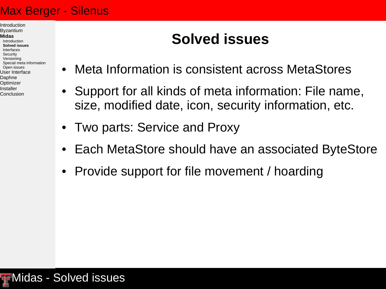#### Introduction Byzantium

#### **Midas**

Introduction **Solved issues** Interfaces **Security** Versioning Special meta information Open issues User Interface Daphne Optimizer Installer Conclusion

# **Solved issues**

- Meta Information is consistent across MetaStores
- Support for all kinds of meta information: File name, size, modified date, icon, security information, etc.
- Two parts: Service and Proxy
- Each MetaStore should have an associated ByteStore
- Provide support for file movement / hoarding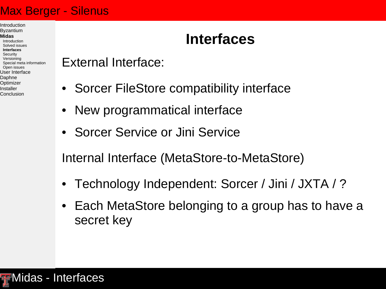Introduction Byzantium

#### **Midas**

Introduction Solved issues **Interfaces** Security Versioning Special meta information Open issues User Interface Daphne Optimizer Installer Conclusion

# **Interfaces**

External Interface:

- Sorcer FileStore compatibility interface
- New programmatical interface
- Sorcer Service or Jini Service

Internal Interface (MetaStore-to-MetaStore)

- Technology Independent: Sorcer / Jini / JXTA / ?
- Each MetaStore belonging to a group has to have a secret key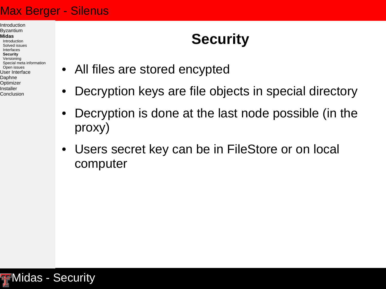Introduction Byzantium **Midas** Introduction Solved issues Interfaces **Security** Versioning

Open issues User Interface Daphne Optimizer Installer Conclusion

Special meta information

# **Security**

- All files are stored encypted
- Decryption keys are file objects in special directory
- Decryption is done at the last node possible (in the proxy)
- Users secret key can be in FileStore or on local computer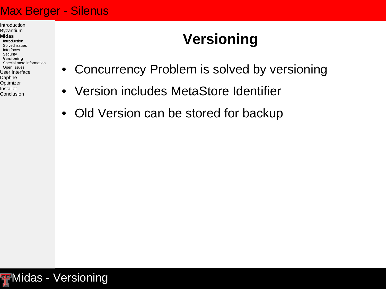Introduction Byzantium

#### **Midas**

Introduction Solved issues Interfaces **Security Versioning** Special meta information Open issues User Interface Daphne Optimizer Installer Conclusion

# **Versioning**

- Concurrency Problem is solved by versioning
- Version includes MetaStore Identifier
- Old Version can be stored for backup

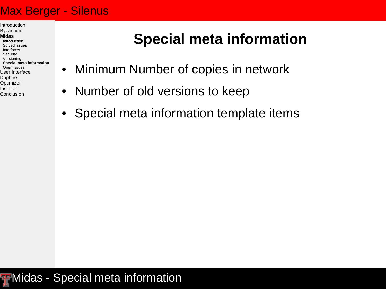Introduction Byzantium

#### **Midas**

Introduction Solved issues Interfaces **Security** Versioning **Special meta information** Open issues User Interface Daphne Optimizer Installer Conclusion

# **Special meta information**

- Minimum Number of copies in network
- Number of old versions to keep
- Special meta information template items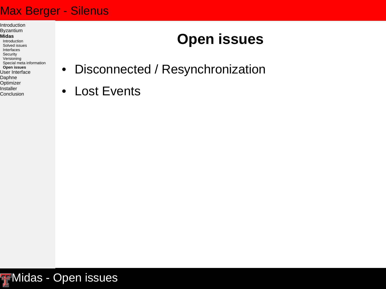Introduction Byzantium

#### **Midas**

Introduction Solved issues Interfaces Security Versioning Special meta information **Open issues** User Interface Daphne **Optimizer** Installer **Conclusion** 

# **Open issues**

- Disconnected / Resynchronization
- Lost Events

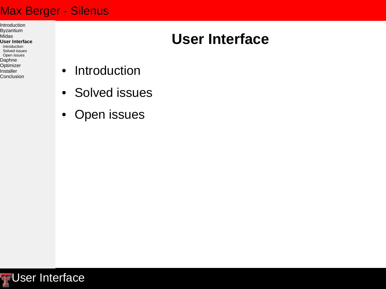Introduction Byzantium Midas **User Interface** Introduction Solved issues Open issues Daphne **Optimizer** Installer Conclusion

# **User Interface**

- Introduction
- Solved issues
- Open issues

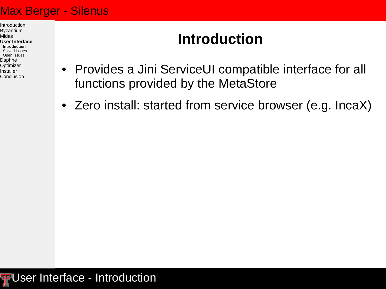Introduction Byzantium Midas **User Interface Introduction** Solved issues Open issues Daphne Optimizer Installer Conclusion

# **Introduction**

- Provides a Jini ServiceUI compatible interface for all functions provided by the MetaStore
- Zero install: started from service browser (e.g. IncaX)

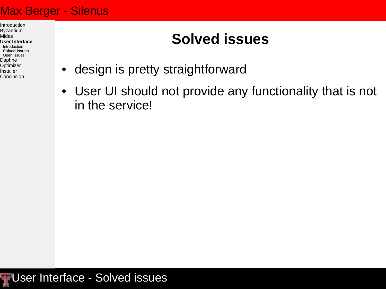Introduction Byzantium Midas **User Interface** Introduction **Solved issues** Open issues Daphne **Optimizer** Installer Conclusion

# **Solved issues**

- design is pretty straightforward
- User UI should not provide any functionality that is not in the service!

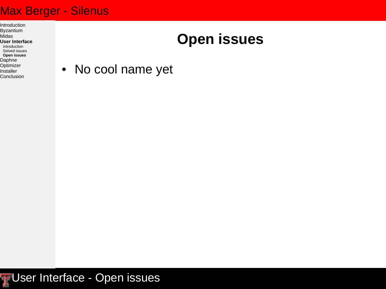Introduction Byzantium Midas **User Interface** Introduction Solved issues **Open issues** Daphne **Optimizer** Installer Conclusion

## **Open issues**

• No cool name yet

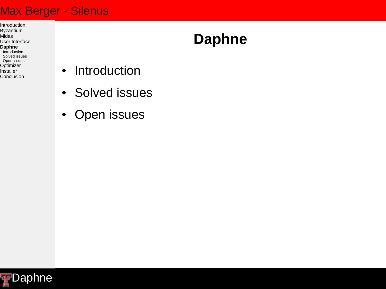Introduction Byzantium Midas User Interface **Daphne** Introduction Solved issues Open issues **Optimizer** Installer Conclusion

## **Daphne**

- Introduction
- Solved issues
- Open issues

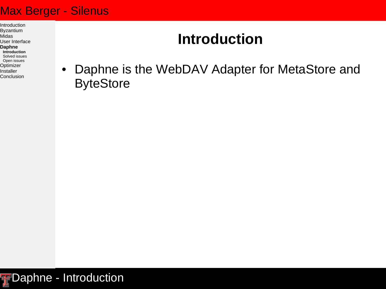Introduction Byzantium Midas User Interface **Daphne Introduction** Solved issues Open issues Optimizer Installer **Conclusion** 

## **Introduction**

• Daphne is the WebDAV Adapter for MetaStore and **ByteStore** 

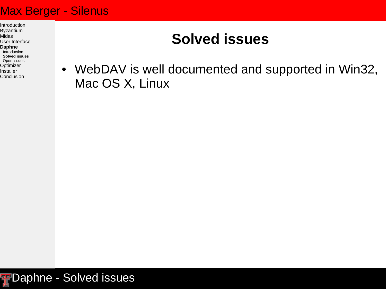Introduction Byzantium Midas User Interface **Daphne** Introduction **Solved issues** Open issues Optimizer Installer Conclusion

## **Solved issues**

• WebDAV is well documented and supported in Win32, Mac OS X, Linux

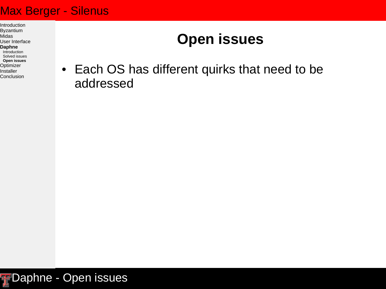Introduction Byzantium Midas User Interface **Daphne** Introduction Solved issues **Open issues Optimizer** Installer Conclusion

# **Open issues**

• Each OS has different quirks that need to be addressed

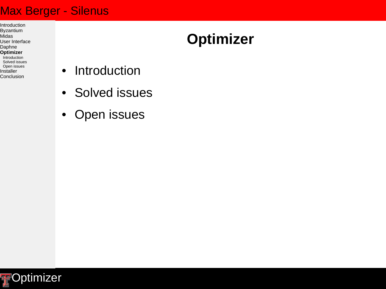Introduction Byzantium Midas User Interface Daphne **Optimizer** Introduction Solved issues Open issues Installer Conclusion

## **Optimizer**

- Introduction
- Solved issues
- Open issues

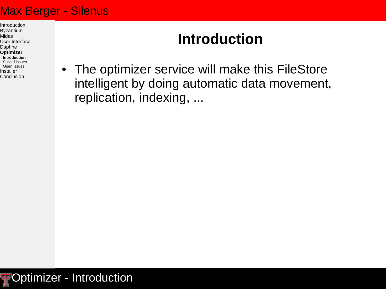Introduction Byzantium Midas User Interface Daphne **Optimizer Introduction** Solved issues Open issues Installer Conclusion

## **Introduction**

• The optimizer service will make this FileStore intelligent by doing automatic data movement, replication, indexing, ...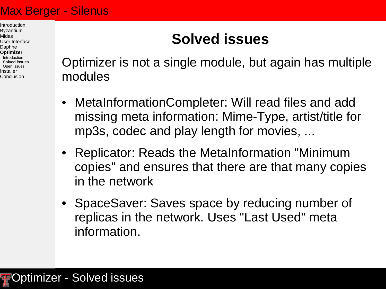#### Introduction Byzantium Midas User Interface Daphne **Optimizer** Introduction **Solved issues** Open issues Installer Conclusion

## **Solved issues**

Optimizer is not a single module, but again has multiple modules

- MetaInformationCompleter: Will read files and add missing meta information: Mime-Type, artist/title for mp3s, codec and play length for movies, ...
- Replicator: Reads the MetaInformation "Minimum copies" and ensures that there are that many copies in the network
- SpaceSaver: Saves space by reducing number of replicas in the network. Uses "Last Used" meta information.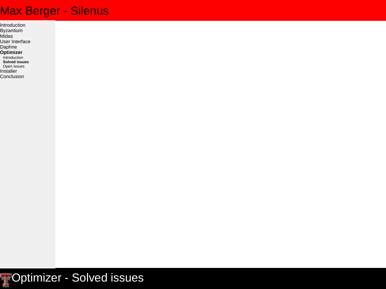Introduction Byzantium Midas User Interface Daphne **Optimizer introduction Solved issues** Open issues Installer **Conclusion** 

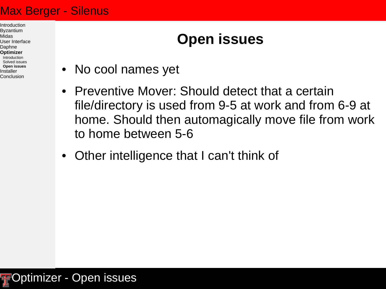Introduction Byzantium Midas User Interface Daphne **Optimizer** Introduction Solved issues **Open issues** Installer Conclusion

# **Open issues**

- No cool names yet
- Preventive Mover: Should detect that a certain file/directory is used from 9-5 at work and from 6-9 at home. Should then automagically move file from work to home between 5-6
- Other intelligence that I can't think of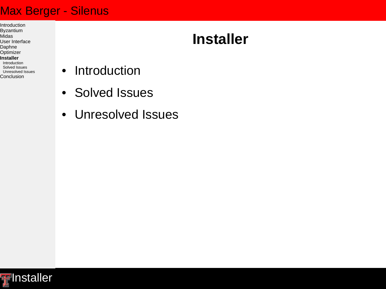Introduction Byzantium Midas User Interface Daphne **Optimizer Installer** Introduction Solved Issues Unresolved Issues Conclusion

## **Installer**

- Introduction
- Solved Issues
- Unresolved Issues

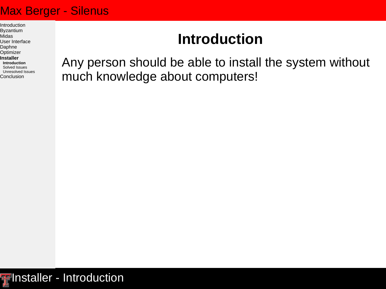Introduction Byzantium Midas User Interface Daphne Optimizer **Installer Introduction** Solved Issues Unresolved Issues Conclusion

## **Introduction**

Any person should be able to install the system without much knowledge about computers!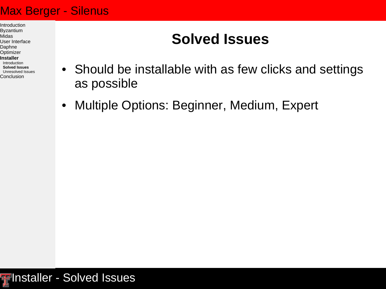Introduction Byzantium Midas User Interface Daphne Optimizer **Installer** Introduction **Solved Issues** Unresolved Issues Conclusion

## **Solved Issues**

- Should be installable with as few clicks and settings as possible
- Multiple Options: Beginner, Medium, Expert

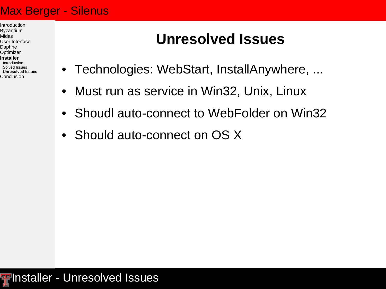Introduction Byzantium Midas User Interface Daphne Optimizer **Installer** Introduction Solved Issues **Unresolved Issues Conclusion** 

## **Unresolved Issues**

- Technologies: WebStart, InstallAnywhere, ...
- Must run as service in Win32, Unix, Linux
- Shoudl auto-connect to WebFolder on Win32
- Should auto-connect on OS X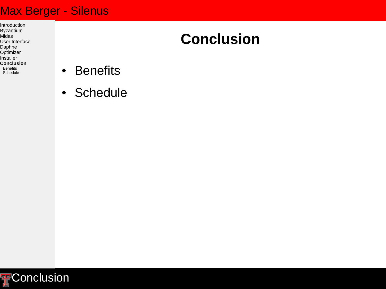Introduction Byzantium Midas User Interface Daphne **Optimizer** Installer **Conclusion Benefits Schedule** 

## **Conclusion**

- Benefits
- Schedule

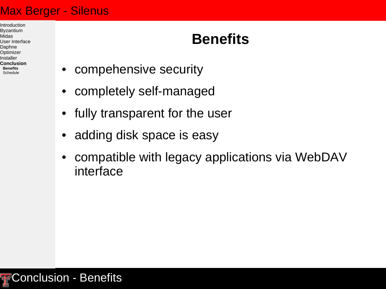Introduction Byzantium Midas User Interface Daphne Optimizer Installer **Conclusion Benefits Schedule** 

# **Benefits**

- compehensive security
- completely self-managed
- fully transparent for the user
- adding disk space is easy
- compatible with legacy applications via WebDAV interface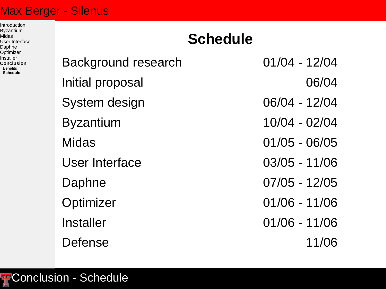Introduction Byzantium Midas User Interface Daphne Optimizer Installer **Conclusion Benefits Schedule**

# Background research 01/04 - 12/04 Initial proposal and 06/04 System design 06/04 - 12/04 Byzantium 10/04 - 02/04 Midas 01/05 - 06/05 User Interface 03/05 - 11/06 Daphne 07/05 - 12/05 Optimizer 01/06 - 11/06 Installer 01/06 - 11/06 Defense 11/06

**Schedule**